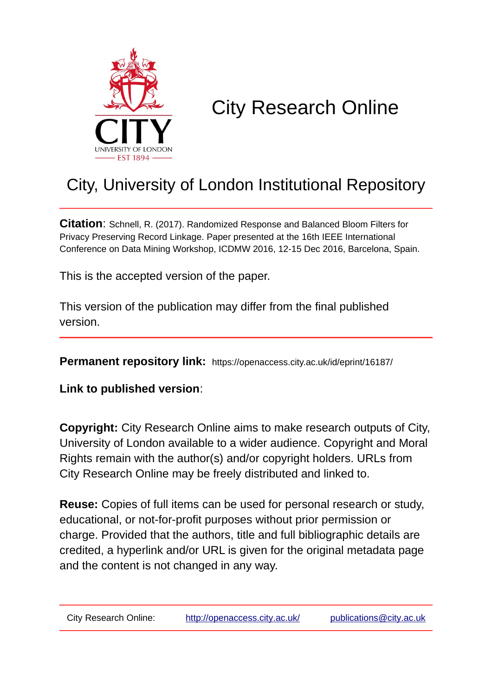

# City Research Online

# City, University of London Institutional Repository

**Citation**: Schnell, R. (2017). Randomized Response and Balanced Bloom Filters for Privacy Preserving Record Linkage. Paper presented at the 16th IEEE International Conference on Data Mining Workshop, ICDMW 2016, 12-15 Dec 2016, Barcelona, Spain.

This is the accepted version of the paper.

This version of the publication may differ from the final published version.

**Permanent repository link:** https://openaccess.city.ac.uk/id/eprint/16187/

**Link to published version**:

**Copyright:** City Research Online aims to make research outputs of City, University of London available to a wider audience. Copyright and Moral Rights remain with the author(s) and/or copyright holders. URLs from City Research Online may be freely distributed and linked to.

**Reuse:** Copies of full items can be used for personal research or study, educational, or not-for-profit purposes without prior permission or charge. Provided that the authors, title and full bibliographic details are credited, a hyperlink and/or URL is given for the original metadata page and the content is not changed in any way.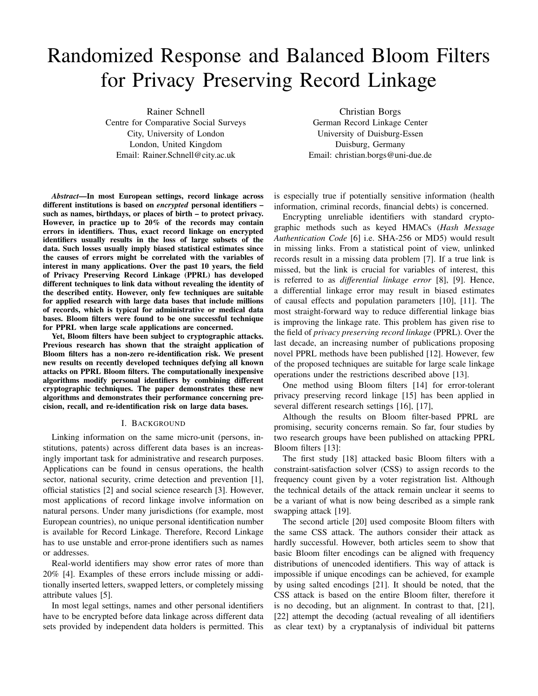# Randomized Response and Balanced Bloom Filters for Privacy Preserving Record Linkage

Rainer Schnell Centre for Comparative Social Surveys City, University of London London, United Kingdom Email: Rainer.Schnell@city.ac.uk

*Abstract*—In most European settings, record linkage across different institutions is based on *encrypted* personal identifiers – such as names, birthdays, or places of birth – to protect privacy. However, in practice up to 20% of the records may contain errors in identifiers. Thus, exact record linkage on encrypted identifiers usually results in the loss of large subsets of the data. Such losses usually imply biased statistical estimates since the causes of errors might be correlated with the variables of interest in many applications. Over the past 10 years, the field of Privacy Preserving Record Linkage (PPRL) has developed different techniques to link data without revealing the identity of the described entity. However, only few techniques are suitable for applied research with large data bases that include millions of records, which is typical for administrative or medical data bases. Bloom filters were found to be one successful technique for PPRL when large scale applications are concerned.

Yet, Bloom filters have been subject to cryptographic attacks. Previous research has shown that the straight application of Bloom filters has a non-zero re-identification risk. We present new results on recently developed techniques defying all known attacks on PPRL Bloom filters. The computationally inexpensive algorithms modify personal identifiers by combining different cryptographic techniques. The paper demonstrates these new algorithms and demonstrates their performance concerning precision, recall, and re-identification risk on large data bases.

#### I. BACKGROUND

Linking information on the same micro-unit (persons, institutions, patents) across different data bases is an increasingly important task for administrative and research purposes. Applications can be found in census operations, the health sector, national security, crime detection and prevention [1], official statistics [2] and social science research [3]. However, most applications of record linkage involve information on natural persons. Under many jurisdictions (for example, most European countries), no unique personal identification number is available for Record Linkage. Therefore, Record Linkage has to use unstable and error-prone identifiers such as names or addresses.

Real-world identifiers may show error rates of more than 20% [4]. Examples of these errors include missing or additionally inserted letters, swapped letters, or completely missing attribute values [5].

In most legal settings, names and other personal identifiers have to be encrypted before data linkage across different data sets provided by independent data holders is permitted. This

Christian Borgs German Record Linkage Center University of Duisburg-Essen Duisburg, Germany Email: christian.borgs@uni-due.de

is especially true if potentially sensitive information (health information, criminal records, financial debts) is concerned.

Encrypting unreliable identifiers with standard cryptographic methods such as keyed HMACs (*Hash Message Authentication Code* [6] i.e. SHA-256 or MD5) would result in missing links. From a statistical point of view, unlinked records result in a missing data problem [7]. If a true link is missed, but the link is crucial for variables of interest, this is referred to as *differential linkage error* [8], [9]. Hence, a differential linkage error may result in biased estimates of causal effects and population parameters [10], [11]. The most straight-forward way to reduce differential linkage bias is improving the linkage rate. This problem has given rise to the field of *privacy preserving record linkage* (PPRL). Over the last decade, an increasing number of publications proposing novel PPRL methods have been published [12]. However, few of the proposed techniques are suitable for large scale linkage operations under the restrictions described above [13].

One method using Bloom filters [14] for error-tolerant privacy preserving record linkage [15] has been applied in several different research settings [16], [17],

Although the results on Bloom filter-based PPRL are promising, security concerns remain. So far, four studies by two research groups have been published on attacking PPRL Bloom filters [13]:

The first study [18] attacked basic Bloom filters with a constraint-satisfaction solver (CSS) to assign records to the frequency count given by a voter registration list. Although the technical details of the attack remain unclear it seems to be a variant of what is now being described as a simple rank swapping attack [19].

The second article [20] used composite Bloom filters with the same CSS attack. The authors consider their attack as hardly successful. However, both articles seem to show that basic Bloom filter encodings can be aligned with frequency distributions of unencoded identifiers. This way of attack is impossible if unique encodings can be achieved, for example by using salted encodings [21]. It should be noted, that the CSS attack is based on the entire Bloom filter, therefore it is no decoding, but an alignment. In contrast to that, [21], [22] attempt the decoding (actual revealing of all identifiers as clear text) by a cryptanalysis of individual bit patterns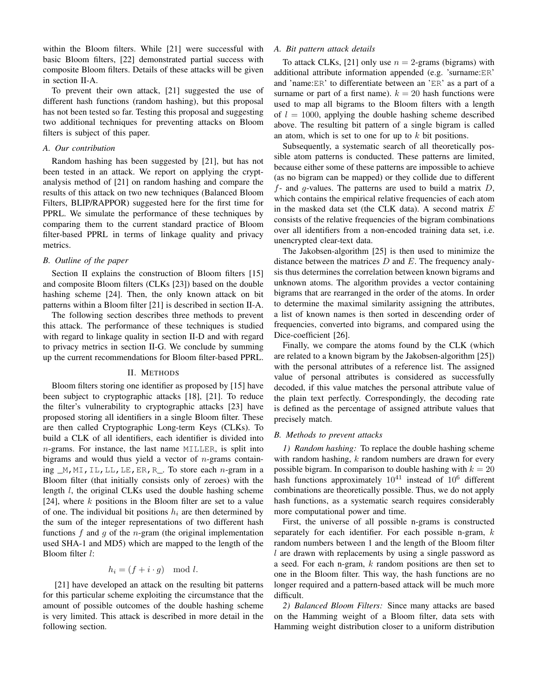within the Bloom filters. While [21] were successful with basic Bloom filters, [22] demonstrated partial success with composite Bloom filters. Details of these attacks will be given in section II-A.

To prevent their own attack, [21] suggested the use of different hash functions (random hashing), but this proposal has not been tested so far. Testing this proposal and suggesting two additional techniques for preventing attacks on Bloom filters is subject of this paper.

#### *A. Our contribution*

Random hashing has been suggested by [21], but has not been tested in an attack. We report on applying the cryptanalysis method of [21] on random hashing and compare the results of this attack on two new techniques (Balanced Bloom Filters, BLIP/RAPPOR) suggested here for the first time for PPRL. We simulate the performance of these techniques by comparing them to the current standard practice of Bloom filter-based PPRL in terms of linkage quality and privacy metrics.

### *B. Outline of the paper*

Section II explains the construction of Bloom filters [15] and composite Bloom filters (CLKs [23]) based on the double hashing scheme [24]. Then, the only known attack on bit patterns within a Bloom filter [21] is described in section II-A.

The following section describes three methods to prevent this attack. The performance of these techniques is studied with regard to linkage quality in section II-D and with regard to privacy metrics in section II-G. We conclude by summing up the current recommendations for Bloom filter-based PPRL.

#### II. METHODS

Bloom filters storing one identifier as proposed by [15] have been subject to cryptographic attacks [18], [21]. To reduce the filter's vulnerability to cryptographic attacks [23] have proposed storing all identifiers in a single Bloom filter. These are then called Cryptographic Long-term Keys (CLKs). To build a CLK of all identifiers, each identifier is divided into  $n$ -grams. For instance, the last name MILLER, is split into bigrams and would thus yield a vector of  $n$ -grams containing  $M$ , MI, IL, LL, LE, ER, R<sub>1</sub>. To store each *n*-gram in a Bloom filter (that initially consists only of zeroes) with the length l, the original CLKs used the double hashing scheme [24], where  $k$  positions in the Bloom filter are set to a value of one. The individual bit positions  $h_i$  are then determined by the sum of the integer representations of two different hash functions f and g of the n-gram (the original implementation used SHA-1 and MD5) which are mapped to the length of the Bloom filter l:

$$
h_i = (f + i \cdot g) \mod l.
$$

[21] have developed an attack on the resulting bit patterns for this particular scheme exploiting the circumstance that the amount of possible outcomes of the double hashing scheme is very limited. This attack is described in more detail in the following section.

# *A. Bit pattern attack details*

To attack CLKs, [21] only use  $n = 2$ -grams (bigrams) with additional attribute information appended (e.g. 'surname:ER' and 'name:ER' to differentiate between an 'ER' as a part of a surname or part of a first name).  $k = 20$  hash functions were used to map all bigrams to the Bloom filters with a length of  $l = 1000$ , applying the double hashing scheme described above. The resulting bit pattern of a single bigram is called an atom, which is set to one for up to  $k$  bit positions.

Subsequently, a systematic search of all theoretically possible atom patterns is conducted. These patterns are limited, because either some of these patterns are impossible to achieve (as no bigram can be mapped) or they collide due to different  $f$ - and  $g$ -values. The patterns are used to build a matrix  $D$ , which contains the empirical relative frequencies of each atom in the masked data set (the CLK data). A second matrix  $E$ consists of the relative frequencies of the bigram combinations over all identifiers from a non-encoded training data set, i.e. unencrypted clear-text data.

The Jakobsen-algorithm [25] is then used to minimize the distance between the matrices  $D$  and  $E$ . The frequency analysis thus determines the correlation between known bigrams and unknown atoms. The algorithm provides a vector containing bigrams that are rearranged in the order of the atoms. In order to determine the maximal similarity assigning the attributes, a list of known names is then sorted in descending order of frequencies, converted into bigrams, and compared using the Dice-coefficient [26].

Finally, we compare the atoms found by the CLK (which are related to a known bigram by the Jakobsen-algorithm [25]) with the personal attributes of a reference list. The assigned value of personal attributes is considered as successfully decoded, if this value matches the personal attribute value of the plain text perfectly. Correspondingly, the decoding rate is defined as the percentage of assigned attribute values that precisely match.

#### *B. Methods to prevent attacks*

*1) Random hashing:* To replace the double hashing scheme with random hashing,  $k$  random numbers are drawn for every possible bigram. In comparison to double hashing with  $k = 20$ hash functions approximately  $10^{41}$  instead of  $10^6$  different combinations are theoretically possible. Thus, we do not apply hash functions, as a systematic search requires considerably more computational power and time.

First, the universe of all possible n-grams is constructed separately for each identifier. For each possible n-gram,  $k$ random numbers between 1 and the length of the Bloom filter l are drawn with replacements by using a single password as a seed. For each n-gram, k random positions are then set to one in the Bloom filter. This way, the hash functions are no longer required and a pattern-based attack will be much more difficult.

*2) Balanced Bloom Filters:* Since many attacks are based on the Hamming weight of a Bloom filter, data sets with Hamming weight distribution closer to a uniform distribution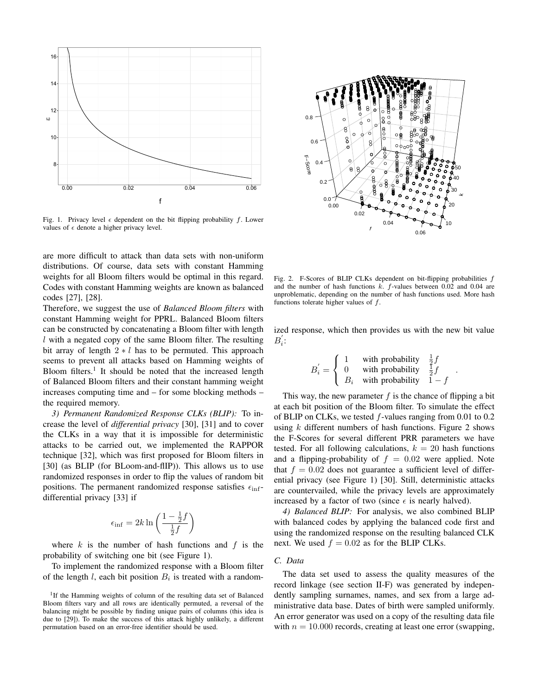

Fig. 1. Privacy level  $\epsilon$  dependent on the bit flipping probability f. Lower values of  $\epsilon$  denote a higher privacy level.

are more difficult to attack than data sets with non-uniform distributions. Of course, data sets with constant Hamming weights for all Bloom filters would be optimal in this regard. Codes with constant Hamming weights are known as balanced codes [27], [28].

Therefore, we suggest the use of *Balanced Bloom filters* with constant Hamming weight for PPRL. Balanced Bloom filters can be constructed by concatenating a Bloom filter with length  $l$  with a negated copy of the same Bloom filter. The resulting bit array of length  $2 \times l$  has to be permuted. This approach seems to prevent all attacks based on Hamming weights of Bloom filters.<sup>1</sup> It should be noted that the increased length of Balanced Bloom filters and their constant hamming weight increases computing time and – for some blocking methods – the required memory. are a more difficult to attack than data sets with non-uniform<br>
distributions. O'f course, data sets with constant Harming weights for all sets with constant Harming weights are known as balanced  $\frac{1}{2}$  and  $\frac{1}{2}$  a

*3) Permanent Randomized Response CLKs (BLIP):* To increase the level of *differential privacy* [30], [31] and to cover the CLKs in a way that it is impossible for deterministic attacks to be carried out, we implemented the RAPPOR technique [32], which was first proposed for Bloom filters in [30] (as BLIP (for BLoom-and-flIP)). This allows us to use randomized responses in order to flip the values of random bit positions. The permanent randomized response satisfies  $\epsilon_{\text{inf}}$ differential privacy [33] if

$$
\epsilon_{\inf} = 2k \ln \left( \frac{1 - \frac{1}{2}f}{\frac{1}{2}f} \right)
$$

where  $k$  is the number of hash functions and  $f$  is the probability of switching one bit (see Figure 1).

To implement the randomized response with a Bloom filter of the length l, each bit position  $B_i$  is treated with a random-

<sup>1</sup>If the Hamming weights of column of the resulting data set of Balanced Bloom filters vary and all rows are identically permuted, a reversal of the balancing might be possible by finding unique pairs of columns (this idea is due to [29]). To make the success of this attack highly unlikely, a different



Fig. 2. F-Scores of BLIP CLKs dependent on bit-flipping probabilities f and the number of hash functions  $k$ .  $f$ -values between 0.02 and 0.04 are unproblematic, depending on the number of hash functions used. More hash functions tolerate higher values of f.

ized response, which then provides us with the new bit value  $B_i$ :

$$
B_{i}^{'} = \begin{cases} 1 & \text{with probability} & \frac{1}{2}f \\ 0 & \text{with probability} & \frac{1}{2}f \\ B_{i} & \text{with probability} & 1-f \end{cases}
$$

.

This way, the new parameter  $f$  is the chance of flipping a bit at each bit position of the Bloom filter. To simulate the effect of BLIP on CLKs, we tested f-values ranging from 0.01 to 0.2 using  $k$  different numbers of hash functions. Figure 2 shows the F-Scores for several different PRR parameters we have tested. For all following calculations,  $k = 20$  hash functions and a flipping-probability of  $f = 0.02$  were applied. Note that  $f = 0.02$  does not guarantee a sufficient level of differential privacy (see Figure 1) [30]. Still, deterministic attacks are countervailed, while the privacy levels are approximately increased by a factor of two (since  $\epsilon$  is nearly halved).

*4) Balanced BLIP:* For analysis, we also combined BLIP with balanced codes by applying the balanced code first and using the randomized response on the resulting balanced CLK next. We used  $f = 0.02$  as for the BLIP CLKs.

# *C. Data*

The data set used to assess the quality measures of the record linkage (see section II-F) was generated by independently sampling surnames, names, and sex from a large administrative data base. Dates of birth were sampled uniformly. An error generator was used on a copy of the resulting data file with  $n = 10.000$  records, creating at least one error (swapping,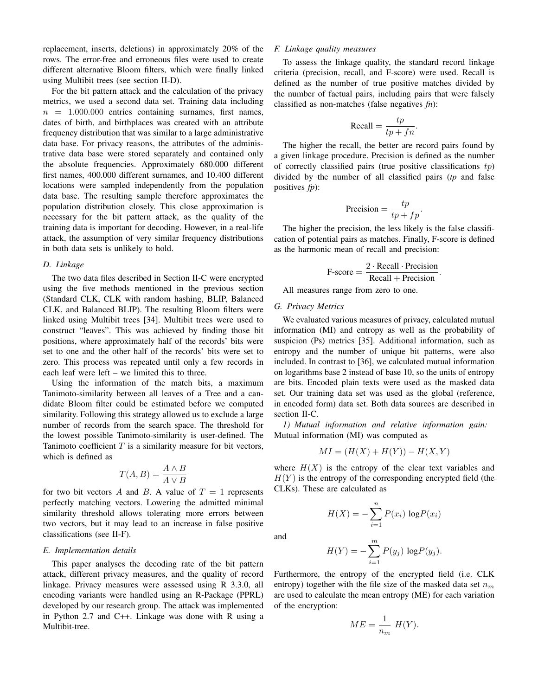replacement, inserts, deletions) in approximately 20% of the rows. The error-free and erroneous files were used to create different alternative Bloom filters, which were finally linked using Multibit trees (see section II-D).

For the bit pattern attack and the calculation of the privacy metrics, we used a second data set. Training data including  $n = 1.000.000$  entries containing surnames, first names, dates of birth, and birthplaces was created with an attribute frequency distribution that was similar to a large administrative data base. For privacy reasons, the attributes of the administrative data base were stored separately and contained only the absolute frequencies. Approximately 680.000 different first names, 400.000 different surnames, and 10.400 different locations were sampled independently from the population data base. The resulting sample therefore approximates the population distribution closely. This close approximation is necessary for the bit pattern attack, as the quality of the training data is important for decoding. However, in a real-life attack, the assumption of very similar frequency distributions in both data sets is unlikely to hold.

## *D. Linkage*

The two data files described in Section II-C were encrypted using the five methods mentioned in the previous section (Standard CLK, CLK with random hashing, BLIP, Balanced CLK, and Balanced BLIP). The resulting Bloom filters were linked using Multibit trees [34]. Multibit trees were used to construct "leaves". This was achieved by finding those bit positions, where approximately half of the records' bits were set to one and the other half of the records' bits were set to zero. This process was repeated until only a few records in each leaf were left – we limited this to three.

Using the information of the match bits, a maximum Tanimoto-similarity between all leaves of a Tree and a candidate Bloom filter could be estimated before we computed similarity. Following this strategy allowed us to exclude a large number of records from the search space. The threshold for the lowest possible Tanimoto-similarity is user-defined. The Tanimoto coefficient  $T$  is a similarity measure for bit vectors, which is defined as

$$
T(A, B) = \frac{A \wedge B}{A \vee B}
$$

for two bit vectors A and B. A value of  $T = 1$  represents perfectly matching vectors. Lowering the admitted minimal similarity threshold allows tolerating more errors between two vectors, but it may lead to an increase in false positive classifications (see II-F).

### *E. Implementation details*

This paper analyses the decoding rate of the bit pattern attack, different privacy measures, and the quality of record linkage. Privacy measures were assessed using R 3.3.0, all encoding variants were handled using an R-Package (PPRL) developed by our research group. The attack was implemented in Python 2.7 and C++. Linkage was done with R using a Multibit-tree.

#### *F. Linkage quality measures*

To assess the linkage quality, the standard record linkage criteria (precision, recall, and F-score) were used. Recall is defined as the number of true positive matches divided by the number of factual pairs, including pairs that were falsely classified as non-matches (false negatives *fn*):

$$
\text{Recall} = \frac{tp}{tp + fn}.
$$

The higher the recall, the better are record pairs found by a given linkage procedure. Precision is defined as the number of correctly classified pairs (true positive classifications  $tp$ ) divided by the number of all classified pairs (*tp* and false positives *fp*):

$$
Precision = \frac{tp}{tp + fp}.
$$

The higher the precision, the less likely is the false classification of potential pairs as matches. Finally, F-score is defined as the harmonic mean of recall and precision:

$$
F\text{-score} = \frac{2 \cdot \text{Recall} \cdot \text{Precision}}{\text{Recall} + \text{Precision}}.
$$

All measures range from zero to one.

#### *G. Privacy Metrics*

We evaluated various measures of privacy, calculated mutual information (MI) and entropy as well as the probability of suspicion (Ps) metrics [35]. Additional information, such as entropy and the number of unique bit patterns, were also included. In contrast to [36], we calculated mutual information on logarithms base 2 instead of base 10, so the units of entropy are bits. Encoded plain texts were used as the masked data set. Our training data set was used as the global (reference, in encoded form) data set. Both data sources are described in section II-C.

*1) Mutual information and relative information gain:* Mutual information (MI) was computed as

$$
MI = (H(X) + H(Y)) - H(X, Y)
$$

where  $H(X)$  is the entropy of the clear text variables and  $H(Y)$  is the entropy of the corresponding encrypted field (the CLKs). These are calculated as

and

$$
H(X) = -\sum_{i=1}^{n} P(x_i) \log P(x_i)
$$

$$
H(Y) = -\sum_{i=1}^{m} P(y_j) \log P(y_j).
$$

Furthermore, the entropy of the encrypted field (i.e. CLK entropy) together with the file size of the masked data set  $n_m$ are used to calculate the mean entropy (ME) for each variation of the encryption:

$$
ME = \frac{1}{n_m} H(Y).
$$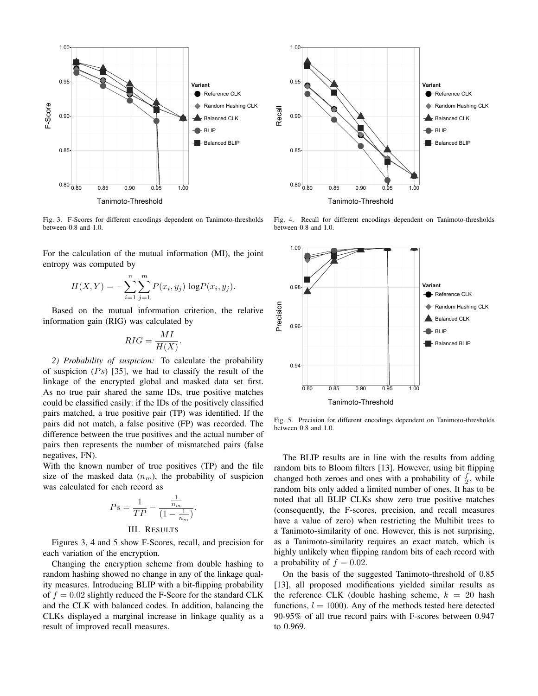

Fig. 3. F-Scores for different encodings dependent on Tanimoto-thresholds between 0.8 and 1.0.

For the calculation of the mutual information (MI), the joint entropy was computed by

$$
H(X,Y) = -\sum_{i=1}^{n} \sum_{j=1}^{m} P(x_i, y_j) \log P(x_i, y_j).
$$

Based on the mutual information criterion, the relative information gain (RIG) was calculated by

$$
RIG = \frac{MI}{H(X)}.
$$

*2) Probability of suspicion:* To calculate the probability of suspicion  $(P<sub>s</sub>)$  [35], we had to classify the result of the linkage of the encrypted global and masked data set first. As no true pair shared the same IDs, true positive matches could be classified easily: if the IDs of the positively classified pairs matched, a true positive pair (TP) was identified. If the pairs did not match, a false positive (FP) was recorded. The difference between the true positives and the actual number of pairs then represents the number of mismatched pairs (false negatives, FN).

With the known number of true positives (TP) and the file size of the masked data  $(n_m)$ , the probability of suspicion was calculated for each record as

$$
Ps = \frac{1}{TP} - \frac{\frac{1}{n_m}}{(1 - \frac{1}{n_m})}.
$$

# III. RESULTS

Figures 3, 4 and 5 show F-Scores, recall, and precision for each variation of the encryption.

Changing the encryption scheme from double hashing to random hashing showed no change in any of the linkage quality measures. Introducing BLIP with a bit-flipping probability of  $f = 0.02$  slightly reduced the F-Score for the standard CLK and the CLK with balanced codes. In addition, balancing the CLKs displayed a marginal increase in linkage quality as a result of improved recall measures.



Fig. 4. Recall for different encodings dependent on Tanimoto-thresholds between 0.8 and 1.0.



Fig. 5. Precision for different encodings dependent on Tanimoto-thresholds between 0.8 and 1.0.

The BLIP results are in line with the results from adding random bits to Bloom filters [13]. However, using bit flipping changed both zeroes and ones with a probability of  $\frac{f}{2}$ , while random bits only added a limited number of ones. It has to be noted that all BLIP CLKs show zero true positive matches (consequently, the F-scores, precision, and recall measures have a value of zero) when restricting the Multibit trees to a Tanimoto-similarity of one. However, this is not surprising, as a Tanimoto-similarity requires an exact match, which is highly unlikely when flipping random bits of each record with a probability of  $f = 0.02$ .

On the basis of the suggested Tanimoto-threshold of 0.85 [13], all proposed modifications yielded similar results as the reference CLK (double hashing scheme,  $k = 20$  hash functions,  $l = 1000$ ). Any of the methods tested here detected 90-95% of all true record pairs with F-scores between 0.947 to 0.969.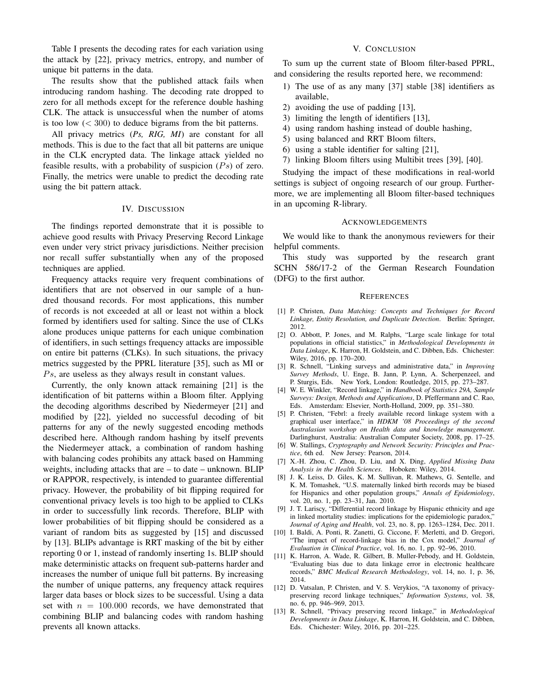Table I presents the decoding rates for each variation using the attack by [22], privacy metrics, entropy, and number of unique bit patterns in the data.

The results show that the published attack fails when introducing random hashing. The decoding rate dropped to zero for all methods except for the reference double hashing CLK. The attack is unsuccessful when the number of atoms is too low  $(< 300)$  to deduce bigrams from the bit patterns.

All privacy metrics (*Ps, RIG, MI*) are constant for all methods. This is due to the fact that all bit patterns are unique in the CLK encrypted data. The linkage attack yielded no feasible results, with a probability of suspicion  $(P_s)$  of zero. Finally, the metrics were unable to predict the decoding rate using the bit pattern attack.

#### IV. DISCUSSION

The findings reported demonstrate that it is possible to achieve good results with Privacy Preserving Record Linkage even under very strict privacy jurisdictions. Neither precision nor recall suffer substantially when any of the proposed techniques are applied.

Frequency attacks require very frequent combinations of identifiers that are not observed in our sample of a hundred thousand records. For most applications, this number of records is not exceeded at all or least not within a block formed by identifiers used for salting. Since the use of CLKs alone produces unique patterns for each unique combination of identifiers, in such settings frequency attacks are impossible on entire bit patterns (CLKs). In such situations, the privacy metrics suggested by the PPRL literature [35], such as MI or  $Ps$ , are useless as they always result in constant values.

Currently, the only known attack remaining [21] is the identification of bit patterns within a Bloom filter. Applying the decoding algorithms described by Niedermeyer [21] and modified by [22], yielded no successful decoding of bit patterns for any of the newly suggested encoding methods described here. Although random hashing by itself prevents the Niedermeyer attack, a combination of random hashing with balancing codes prohibits any attack based on Hamming weights, including attacks that are – to date – unknown. BLIP or RAPPOR, respectively, is intended to guarantee differential privacy. However, the probability of bit flipping required for conventional privacy levels is too high to be applied to CLKs in order to successfully link records. Therefore, BLIP with lower probabilities of bit flipping should be considered as a variant of random bits as suggested by [15] and discussed by [13]. BLIPs advantage is RRT masking of the bit by either reporting 0 or 1, instead of randomly inserting 1s. BLIP should make deterministic attacks on frequent sub-patterns harder and increases the number of unique full bit patterns. By increasing the number of unique patterns, any frequency attack requires larger data bases or block sizes to be successful. Using a data set with  $n = 100.000$  records, we have demonstrated that combining BLIP and balancing codes with random hashing prevents all known attacks.

### V. CONCLUSION

To sum up the current state of Bloom filter-based PPRL, and considering the results reported here, we recommend:

- 1) The use of as any many [37] stable [38] identifiers as available,
- 2) avoiding the use of padding [13],
- 3) limiting the length of identifiers [13],
- 4) using random hashing instead of double hashing,
- 5) using balanced and RRT Bloom filters,
- 6) using a stable identifier for salting [21],
- 7) linking Bloom filters using Multibit trees [39], [40].

Studying the impact of these modifications in real-world settings is subject of ongoing research of our group. Furthermore, we are implementing all Bloom filter-based techniques in an upcoming R-library.

#### ACKNOWLEDGEMENTS

We would like to thank the anonymous reviewers for their helpful comments.

This study was supported by the research grant SCHN 586/17-2 of the German Research Foundation (DFG) to the first author.

#### **REFERENCES**

- [1] P. Christen, *Data Matching: Concepts and Techniques for Record Linkage, Entity Resolution, and Duplicate Detection*. Berlin: Springer, 2012.
- [2] O. Abbott, P. Jones, and M. Ralphs, "Large scale linkage for total populations in official statistics," in *Methodological Developments in Data Linkage*, K. Harron, H. Goldstein, and C. Dibben, Eds. Chichester: Wiley, 2016, pp. 170–200.
- [3] R. Schnell, "Linking surveys and administrative data," in *Improving Survey Methods*, U. Enge, B. Jann, P. Lynn, A. Scherpenzeel, and P. Sturgis, Eds. New York, London: Routledge, 2015, pp. 273–287.
- [4] W. E. Winkler, "Record linkage," in *Handbook of Statistics 29A, Sample Surveys: Design, Methods and Applications*, D. Pfeffermann and C. Rao, Eds. Amsterdam: Elsevier, North-Holland, 2009, pp. 351–380.
- [5] P. Christen, "Febrl: a freely available record linkage system with a graphical user interface," in *HDKM '08 Proceedings of the second Australasian workshop on Health data and knowledge management*. Darlinghurst, Australia: Australian Computer Society, 2008, pp. 17–25.
- [6] W. Stallings, *Cryptography and Network Security: Principles and Practice*, 6th ed. New Jersey: Pearson, 2014.
- [7] X.-H. Zhou, C. Zhou, D. Liu, and X. Ding, *Applied Missing Data Analysis in the Health Sciences*. Hoboken: Wiley, 2014.
- [8] J. K. Leiss, D. Giles, K. M. Sullivan, R. Mathews, G. Sentelle, and K. M. Tomashek, "U.S. maternally linked birth records may be biased for Hispanics and other population groups," *Annals of Epidemiology*, vol. 20, no. 1, pp. 23–31, Jan. 2010.
- [9] J. T. Lariscy, "Differential record linkage by Hispanic ethnicity and age in linked mortality studies: implications for the epidemiologic paradox," *Journal of Aging and Health*, vol. 23, no. 8, pp. 1263–1284, Dec. 2011.
- [10] I. Baldi, A. Ponti, R. Zanetti, G. Ciccone, F. Merletti, and D. Gregori, "The impact of record-linkage bias in the Cox model," *Journal of Evaluation in Clinical Practice*, vol. 16, no. 1, pp. 92–96, 2010.
- [11] K. Harron, A. Wade, R. Gilbert, B. Muller-Pebody, and H. Goldstein, "Evaluating bias due to data linkage error in electronic healthcare records," *BMC Medical Research Methodology*, vol. 14, no. 1, p. 36, 2014.
- [12] D. Vatsalan, P. Christen, and V. S. Verykios, "A taxonomy of privacypreserving record linkage techniques," *Information Systems*, vol. 38, no. 6, pp. 946–969, 2013.
- [13] R. Schnell, "Privacy preserving record linkage," in *Methodological Developments in Data Linkage*, K. Harron, H. Goldstein, and C. Dibben, Eds. Chichester: Wiley, 2016, pp. 201–225.